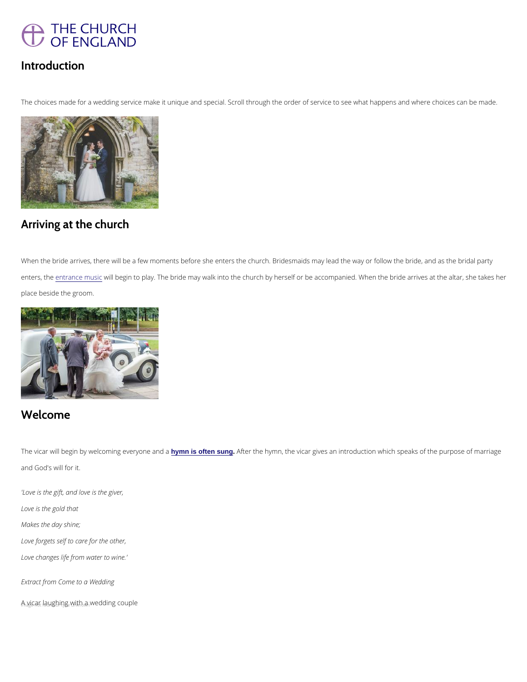

## Introduction

The choices made for a wedding service make it unique and special. Scroll through the order of service

# Arriving at the church

When the bride arrives, there will be a few moments before she enters the church. Bridesmaids may lead enters, ethterance mwisil cbegin to play. The bride may walk into the church by herself or be accompanied. W place beside the groom.

The vicar will begin by welcoming mes often younge a Afthear the hymn, the vicar gives an introduction which speak and God's will for it.

#### Welcome

'Love is the gift, and love is the giver,

Love is the gold that

Makes the day shine;

Love forgets self to care for the other,

Love changes life from water to wine.'

Extract from Come to a Wedding

 $A_{\text{a}}$ yicar  $\text{d}$ augh $\text{d}$ ng with a wedding couple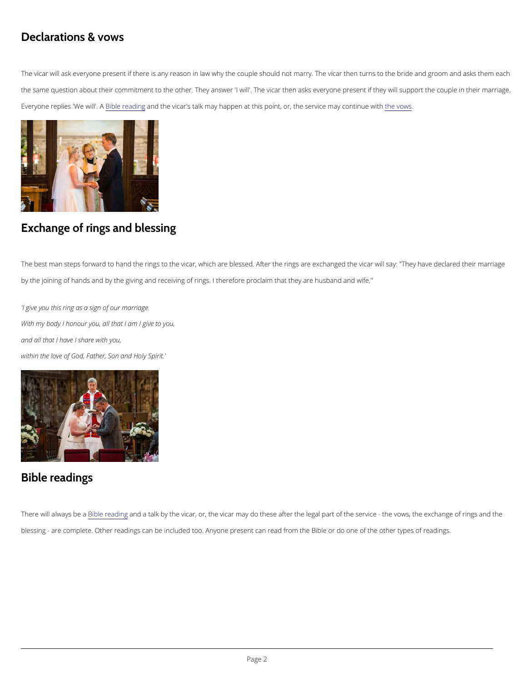## Declarations & vows

The vicar will ask everyone present if there is any reason in law why the couple should not marry. The v the same question about their commitment to the other. They answer 'I will'. The vicar then asks everyor Everyone replies BN/Welewirle a dAndgthe vicar's talk may happen at this point, or, the evsewrsvice may continue wit

## Exchange of rings and blessing

The best man steps forward to hand the rings to the vicar, which are blessed. After the rings are exchan by the joining of hands and by the giving and receiving of rings. I therefore proclaim that they are husba

'I give you this ring as a sign of our marriage. With my body I honour you, all that I am I give to you, and all that I have I share with you, within the love of God, Father, Son and Holy Spirit.'

Bible readings

There will alw Biy is be eead nndga talk by the vicar, or, the vicar may do these after the legal part of the serv

blessing - are complete. Other readings can be included too. Anyone present can read from the Bible or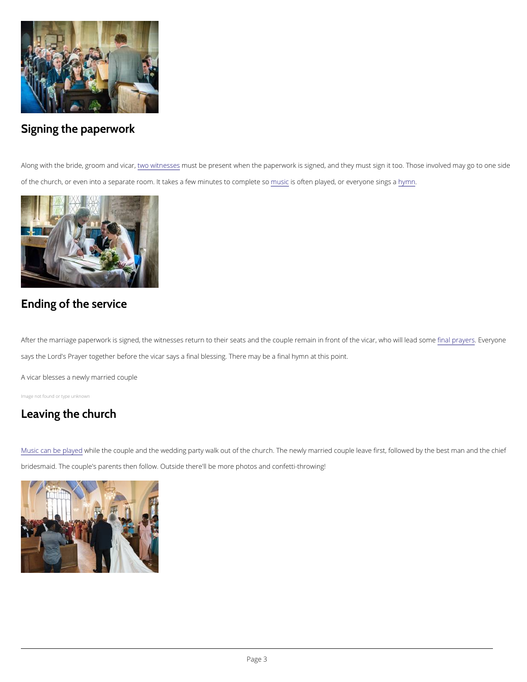# Signing the paperwork

Along with the bride, grotwmo wintch exime was the present when the paperwork is signed, and they must sign it to of the church, or even into a separate room. It takesmasfiesworhtionutpelsayled coomrpole widen yysom e sings a

## Ending of the service

After the marriage paperwork is signed, the witnesses return to their seats and the co tipplæl rpermagner we mo says the Lord's Prayer together before the vicar says a final blessing. There may be a final hymn at this

[Music can be](/life-events/your-church-wedding/planning-your-ceremony/other-music-your-wedding) whay edhe couple and the wedding party walk out of the church. The newly married couple leave first, followed by the best manned by the best manned by the best manned by the best manned by the best manned of t bridesmaid. The couple's parents then follow. Outside there'll be more photos and confetti-throwing!

A vicar blesses a newly married couple

Image not found or type unknown

## Leaving the church